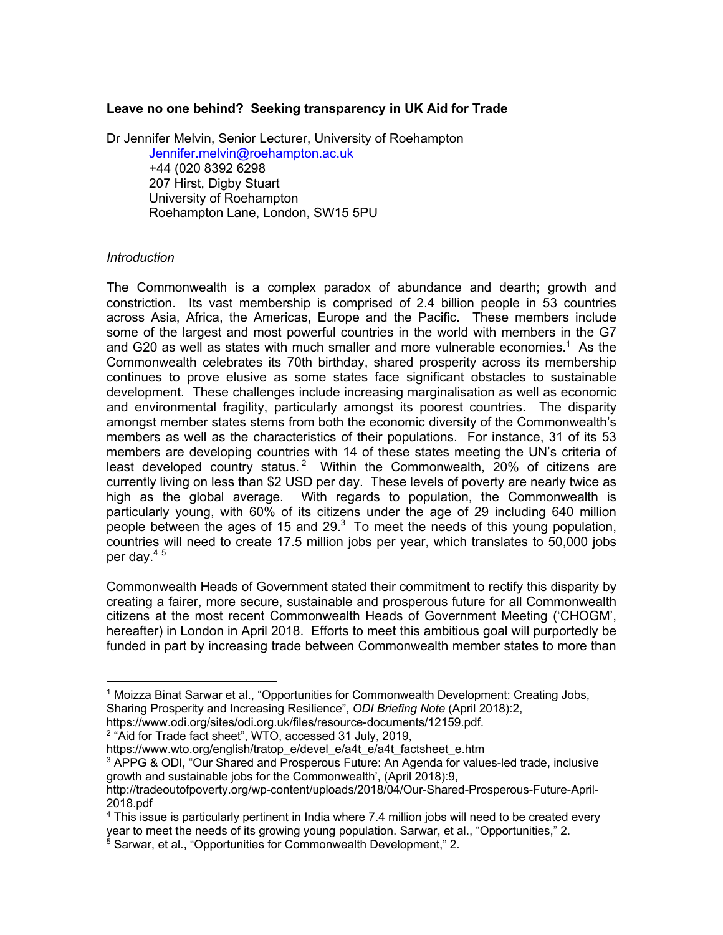### **Leave no one behind? Seeking transparency in UK Aid for Trade**

Dr Jennifer Melvin, Senior Lecturer, University of Roehampton Jennifer.melvin@roehampton.ac.uk +44 (020 8392 6298 207 Hirst, Digby Stuart University of Roehampton Roehampton Lane, London, SW15 5PU

### *Introduction*

The Commonwealth is a complex paradox of abundance and dearth; growth and constriction. Its vast membership is comprised of 2.4 billion people in 53 countries across Asia, Africa, the Americas, Europe and the Pacific. These members include some of the largest and most powerful countries in the world with members in the G7 and G20 as well as states with much smaller and more vulnerable economies. <sup>1</sup> As the Commonwealth celebrates its 70th birthday, shared prosperity across its membership continues to prove elusive as some states face significant obstacles to sustainable development. These challenges include increasing marginalisation as well as economic and environmental fragility, particularly amongst its poorest countries. The disparity amongst member states stems from both the economic diversity of the Commonwealth's members as well as the characteristics of their populations. For instance, 31 of its 53 members are developing countries with 14 of these states meeting the UN's criteria of least developed country status.<sup>2</sup> Within the Commonwealth,  $20\%$  of citizens are currently living on less than \$2 USD per day. These levels of poverty are nearly twice as high as the global average. With regards to population, the Commonwealth is particularly young, with 60% of its citizens under the age of 29 including 640 million people between the ages of 15 and 29. $3$  To meet the needs of this young population, countries will need to create 17.5 million jobs per year, which translates to 50,000 jobs per day.<sup>45</sup>

Commonwealth Heads of Government stated their commitment to rectify this disparity by creating a fairer, more secure, sustainable and prosperous future for all Commonwealth citizens at the most recent Commonwealth Heads of Government Meeting ('CHOGM', hereafter) in London in April 2018. Efforts to meet this ambitious goal will purportedly be funded in part by increasing trade between Commonwealth member states to more than

<sup>1</sup> Moizza Binat Sarwar et al., "Opportunities for Commonwealth Development: Creating Jobs, Sharing Prosperity and Increasing Resilience", *ODI Briefing Note* (April 2018):2,

https://www.odi.org/sites/odi.org.uk/files/resource-documents/12159.pdf.

<sup>&</sup>lt;sup>2</sup> "Aid for Trade fact sheet", WTO, accessed 31 July, 2019,

https://www.wto.org/english/tratop\_e/devel\_e/a4t\_e/a4t\_factsheet\_e.htm

<sup>3</sup> APPG & ODI, "Our Shared and Prosperous Future: An Agenda for values-led trade, inclusive growth and sustainable jobs for the Commonwealth', (April 2018):9,

http://tradeoutofpoverty.org/wp-content/uploads/2018/04/Our-Shared-Prosperous-Future-April-2018.pdf

<sup>4</sup> This issue is particularly pertinent in India where 7.4 million jobs will need to be created every year to meet the needs of its growing young population. Sarwar, et al., "Opportunities," 2.

<sup>&</sup>lt;sup>5</sup> Sarwar, et al., "Opportunities for Commonwealth Development," 2.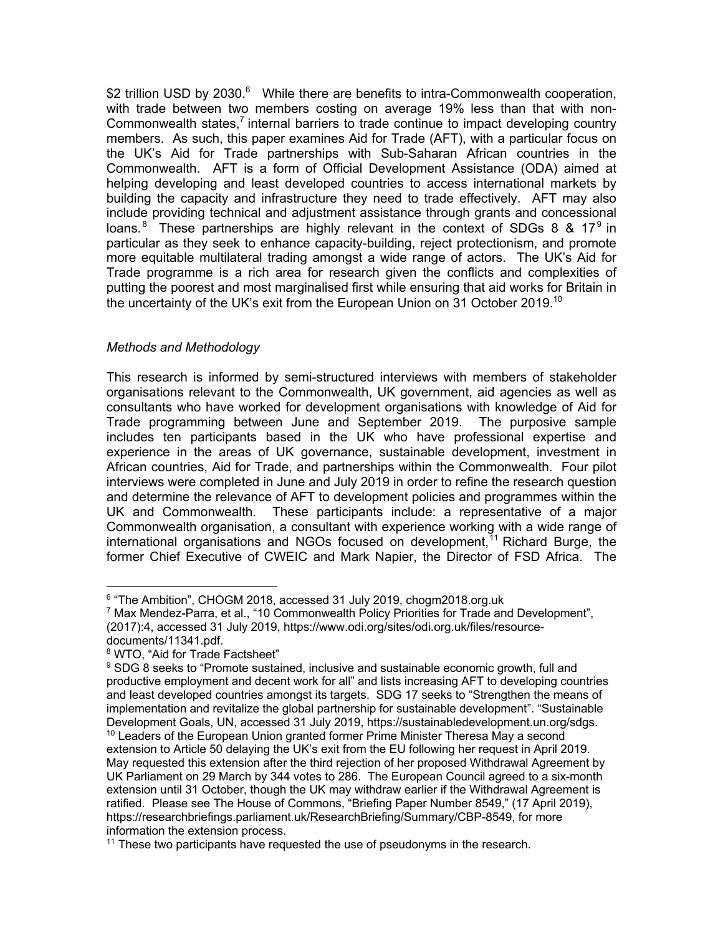\$2 trillion USD by 2030.<sup>6</sup> While there are benefits to intra-Commonwealth cooperation, with trade between two members costing on average 19% less than that with non-Commonwealth states,<sup>7</sup> internal barriers to trade continue to impact developing country members. As such, this paper examines Aid for Trade (AFT), with a particular focus on the UK's Aid for Trade partnerships with Sub-Saharan African countries in the Commonwealth. AFT is a form of Official Development Assistance (ODA) aimed at helping developing and least developed countries to access international markets by building the capacity and infrastructure they need to trade effectively. AFT may also include providing technical and adjustment assistance through grants and concessional loans.<sup>8</sup> These partnerships are highly relevant in the context of SDGs 8 & 17<sup>9</sup> in particular as they seek to enhance capacity-building, reject protectionism, and promote more equitable multilateral trading amongst a wide range of actors. The UK's Aid for Trade programme is a rich area for research given the conflicts and complexities of putting the poorest and most marginalised first while ensuring that aid works for Britain in the uncertainty of the UK's exit from the European Union on 31 October 2019.<sup>10</sup>

## *Methods and Methodology*

This research is informed by semi-structured interviews with members of stakeholder organisations relevant to the Commonwealth, UK government, aid agencies as well as consultants who have worked for development organisations with knowledge of Aid for Trade programming between June and September 2019. The purposive sample includes ten participants based in the UK who have professional expertise and experience in the areas of UK governance, sustainable development, investment in African countries, Aid for Trade, and partnerships within the Commonwealth. Four pilot interviews were completed in June and July 2019 in order to refine the research question and determine the relevance of AFT to development policies and programmes within the UK and Commonwealth. These participants include: a representative of a major Commonwealth organisation, a consultant with experience working with a wide range of international organisations and NGOs focused on development,  $11$  Richard Burge, the former Chief Executive of CWEIC and Mark Napier, the Director of FSD Africa. The

<sup>&</sup>lt;sup>6</sup> "The Ambition", CHOGM 2018, accessed 31 July 2019, chogm2018.org.uk

<sup>7</sup> Max Mendez-Parra, et al., "10 Commonwealth Policy Priorities for Trade and Development", (2017):4, accessed 31 July 2019, https://www.odi.org/sites/odi.org.uk/files/resourcedocuments/11341.pdf.

<sup>8</sup> WTO, "Aid for Trade Factsheet"

 $9$  SDG 8 seeks to "Promote sustained, inclusive and sustainable economic growth, full and productive employment and decent work for all" and lists increasing AFT to developing countries and least developed countries amongst its targets. SDG 17 seeks to "Strengthen the means of implementation and revitalize the global partnership for sustainable development". "Sustainable Development Goals, UN, accessed 31 July 2019, https://sustainabledevelopment.un.org/sdgs. <sup>10</sup> Leaders of the European Union granted former Prime Minister Theresa May a second extension to Article 50 delaying the UK's exit from the EU following her request in April 2019. May requested this extension after the third rejection of her proposed Withdrawal Agreement by UK Parliament on 29 March by 344 votes to 286. The European Council agreed to a six-month extension until 31 October, though the UK may withdraw earlier if the Withdrawal Agreement is ratified. Please see The House of Commons, "Briefing Paper Number 8549," (17 April 2019), https://researchbriefings.parliament.uk/ResearchBriefing/Summary/CBP-8549, for more information the extension process.

 $11$  These two participants have requested the use of pseudonyms in the research.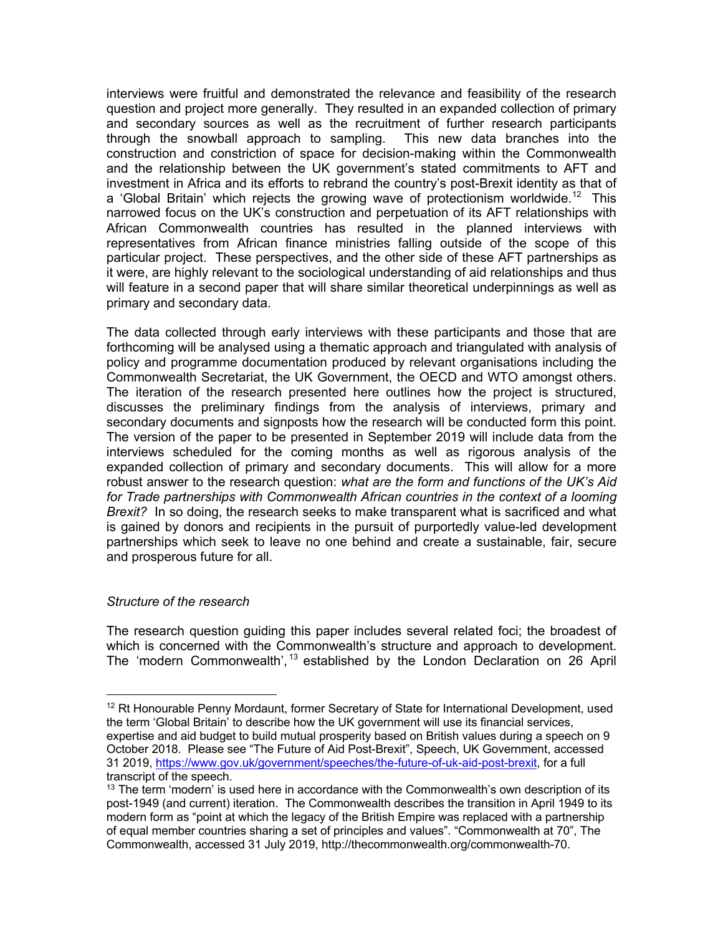interviews were fruitful and demonstrated the relevance and feasibility of the research question and project more generally. They resulted in an expanded collection of primary and secondary sources as well as the recruitment of further research participants through the snowball approach to sampling. This new data branches into the construction and constriction of space for decision-making within the Commonwealth and the relationship between the UK government's stated commitments to AFT and investment in Africa and its efforts to rebrand the country's post-Brexit identity as that of a 'Global Britain' which rejects the growing wave of protectionism worldwide.<sup>12</sup> This narrowed focus on the UK's construction and perpetuation of its AFT relationships with African Commonwealth countries has resulted in the planned interviews with representatives from African finance ministries falling outside of the scope of this particular project. These perspectives, and the other side of these AFT partnerships as it were, are highly relevant to the sociological understanding of aid relationships and thus will feature in a second paper that will share similar theoretical underpinnings as well as primary and secondary data.

The data collected through early interviews with these participants and those that are forthcoming will be analysed using a thematic approach and triangulated with analysis of policy and programme documentation produced by relevant organisations including the Commonwealth Secretariat, the UK Government, the OECD and WTO amongst others. The iteration of the research presented here outlines how the project is structured, discusses the preliminary findings from the analysis of interviews, primary and secondary documents and signposts how the research will be conducted form this point. The version of the paper to be presented in September 2019 will include data from the interviews scheduled for the coming months as well as rigorous analysis of the expanded collection of primary and secondary documents. This will allow for a more robust answer to the research question: *what are the form and functions of the UK's Aid for Trade partnerships with Commonwealth African countries in the context of a looming Brexit?* In so doing, the research seeks to make transparent what is sacrificed and what is gained by donors and recipients in the pursuit of purportedly value-led development partnerships which seek to leave no one behind and create a sustainable, fair, secure and prosperous future for all.

# *Structure of the research*

The research question guiding this paper includes several related foci; the broadest of which is concerned with the Commonwealth's structure and approach to development. The 'modern Commonwealth', <sup>13</sup> established by the London Declaration on 26 April

 $12$  Rt Honourable Penny Mordaunt, former Secretary of State for International Development, used the term 'Global Britain' to describe how the UK government will use its financial services, expertise and aid budget to build mutual prosperity based on British values during a speech on 9 October 2018. Please see "The Future of Aid Post-Brexit", Speech, UK Government, accessed 31 2019, https://www.gov.uk/government/speeches/the-future-of-uk-aid-post-brexit, for a full transcript of the speech.

 $13$  The term 'modern' is used here in accordance with the Commonwealth's own description of its post-1949 (and current) iteration. The Commonwealth describes the transition in April 1949 to its modern form as "point at which the legacy of the British Empire was replaced with a partnership of equal member countries sharing a set of principles and values". "Commonwealth at 70", The Commonwealth, accessed 31 July 2019, http://thecommonwealth.org/commonwealth-70.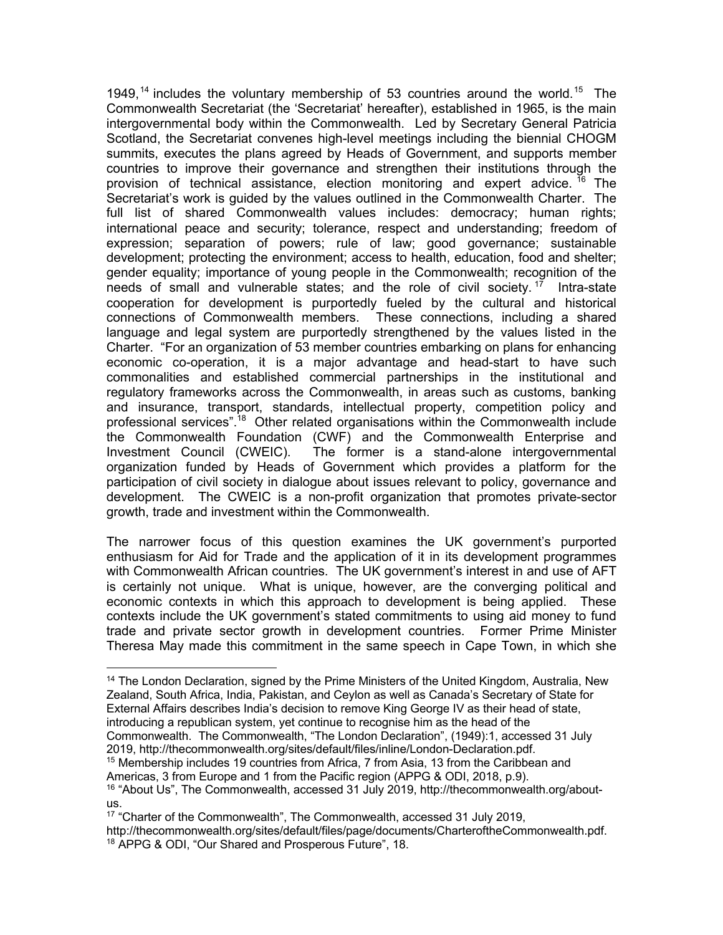1949,<sup>14</sup> includes the voluntary membership of 53 countries around the world.<sup>15</sup> The Commonwealth Secretariat (the 'Secretariat' hereafter), established in 1965, is the main intergovernmental body within the Commonwealth. Led by Secretary General Patricia Scotland, the Secretariat convenes high-level meetings including the biennial CHOGM summits, executes the plans agreed by Heads of Government, and supports member countries to improve their governance and strengthen their institutions through the provision of technical assistance, election monitoring and expert advice.<sup>16</sup> The Secretariat's work is guided by the values outlined in the Commonwealth Charter. The full list of shared Commonwealth values includes: democracy; human rights; international peace and security; tolerance, respect and understanding; freedom of expression; separation of powers; rule of law; good governance; sustainable development; protecting the environment; access to health, education, food and shelter; gender equality; importance of young people in the Commonwealth; recognition of the needs of small and vulnerable states; and the role of civil society.  $17$  Intra-state cooperation for development is purportedly fueled by the cultural and historical connections of Commonwealth members. These connections, including a shared language and legal system are purportedly strengthened by the values listed in the Charter. "For an organization of 53 member countries embarking on plans for enhancing economic co-operation, it is a major advantage and head-start to have such commonalities and established commercial partnerships in the institutional and regulatory frameworks across the Commonwealth, in areas such as customs, banking and insurance, transport, standards, intellectual property, competition policy and professional services".<sup>18</sup> Other related organisations within the Commonwealth include the Commonwealth Foundation (CWF) and the Commonwealth Enterprise and Investment Council (CWEIC). The former is a stand-alone intergovernmental organization funded by Heads of Government which provides a platform for the participation of civil society in dialogue about issues relevant to policy, governance and development. The CWEIC is a non-profit organization that promotes private-sector growth, trade and investment within the Commonwealth.

The narrower focus of this question examines the UK government's purported enthusiasm for Aid for Trade and the application of it in its development programmes with Commonwealth African countries. The UK government's interest in and use of AFT is certainly not unique. What is unique, however, are the converging political and economic contexts in which this approach to development is being applied. These contexts include the UK government's stated commitments to using aid money to fund trade and private sector growth in development countries. Former Prime Minister Theresa May made this commitment in the same speech in Cape Town, in which she

- 2019, http://thecommonwealth.org/sites/default/files/inline/London-Declaration.pdf.
- <sup>15</sup> Membership includes 19 countries from Africa, 7 from Asia, 13 from the Caribbean and Americas, 3 from Europe and 1 from the Pacific region (APPG & ODI, 2018, p.9).

<sup>&</sup>lt;sup>14</sup> The London Declaration, signed by the Prime Ministers of the United Kingdom, Australia, New Zealand, South Africa, India, Pakistan, and Ceylon as well as Canada's Secretary of State for External Affairs describes India's decision to remove King George IV as their head of state, introducing a republican system, yet continue to recognise him as the head of the Commonwealth. The Commonwealth, "The London Declaration", (1949):1, accessed 31 July

<sup>16</sup> "About Us", The Commonwealth, accessed 31 July 2019, http://thecommonwealth.org/aboutus.<br><sup>17</sup> "Charter of the Commonwealth", The Commonwealth, accessed 31 July 2019,

http://thecommonwealth.org/sites/default/files/page/documents/CharteroftheCommonwealth.pdf. <sup>18</sup> APPG & ODI, "Our Shared and Prosperous Future", 18.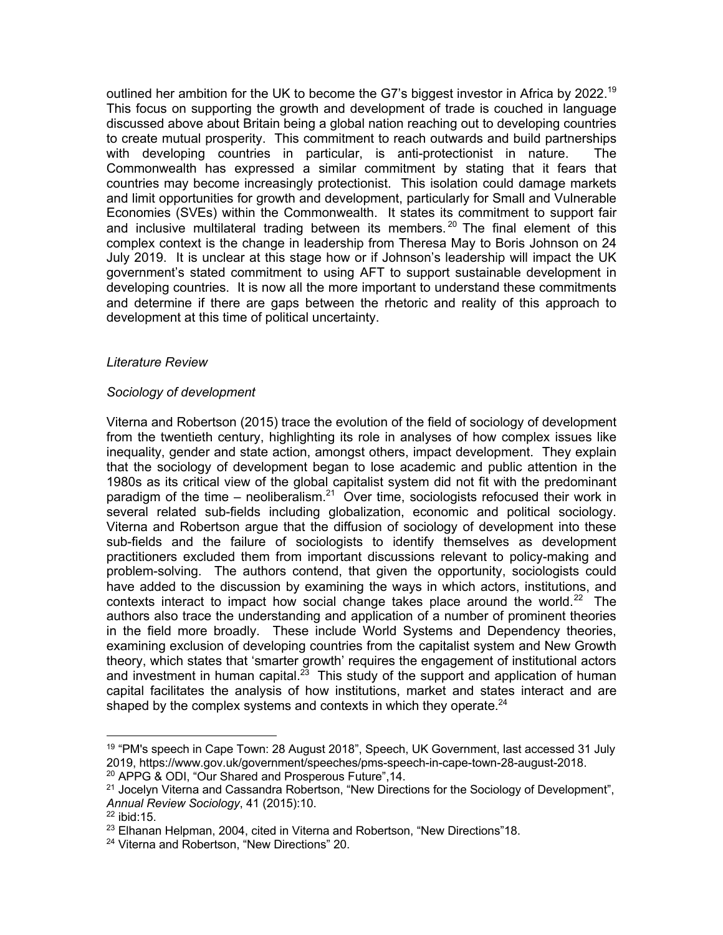outlined her ambition for the UK to become the G7's biggest investor in Africa by 2022.<sup>19</sup> This focus on supporting the growth and development of trade is couched in language discussed above about Britain being a global nation reaching out to developing countries to create mutual prosperity. This commitment to reach outwards and build partnerships with developing countries in particular, is anti-protectionist in nature. The Commonwealth has expressed a similar commitment by stating that it fears that countries may become increasingly protectionist. This isolation could damage markets and limit opportunities for growth and development, particularly for Small and Vulnerable Economies (SVEs) within the Commonwealth. It states its commitment to support fair and inclusive multilateral trading between its members.<sup>20</sup> The final element of this complex context is the change in leadership from Theresa May to Boris Johnson on 24 July 2019. It is unclear at this stage how or if Johnson's leadership will impact the UK government's stated commitment to using AFT to support sustainable development in developing countries. It is now all the more important to understand these commitments and determine if there are gaps between the rhetoric and reality of this approach to development at this time of political uncertainty.

### *Literature Review*

## *Sociology of development*

Viterna and Robertson (2015) trace the evolution of the field of sociology of development from the twentieth century, highlighting its role in analyses of how complex issues like inequality, gender and state action, amongst others, impact development. They explain that the sociology of development began to lose academic and public attention in the 1980s as its critical view of the global capitalist system did not fit with the predominant paradigm of the time – neoliberalism. $21$  Over time, sociologists refocused their work in several related sub-fields including globalization, economic and political sociology. Viterna and Robertson argue that the diffusion of sociology of development into these sub-fields and the failure of sociologists to identify themselves as development practitioners excluded them from important discussions relevant to policy-making and problem-solving. The authors contend, that given the opportunity, sociologists could have added to the discussion by examining the ways in which actors, institutions, and contexts interact to impact how social change takes place around the world.<sup>22</sup> The authors also trace the understanding and application of a number of prominent theories in the field more broadly. These include World Systems and Dependency theories, examining exclusion of developing countries from the capitalist system and New Growth theory, which states that 'smarter growth' requires the engagement of institutional actors and investment in human capital. $^{23}$  This study of the support and application of human capital facilitates the analysis of how institutions, market and states interact and are shaped by the complex systems and contexts in which they operate.<sup>24</sup>

<sup>&</sup>lt;sup>19</sup> "PM's speech in Cape Town: 28 August 2018", Speech, UK Government, last accessed 31 July 2019, https://www.gov.uk/government/speeches/pms-speech-in-cape-town-28-august-2018.

<sup>20</sup> APPG & ODI, "Our Shared and Prosperous Future",14.

 $21$  Jocelyn Viterna and Cassandra Robertson, "New Directions for the Sociology of Development", *Annual Review Sociology*, 41 (2015):10.

<sup>22</sup> ibid:15.

<sup>&</sup>lt;sup>23</sup> Elhanan Helpman, 2004, cited in Viterna and Robertson, "New Directions"18.

<sup>&</sup>lt;sup>24</sup> Viterna and Robertson, "New Directions" 20.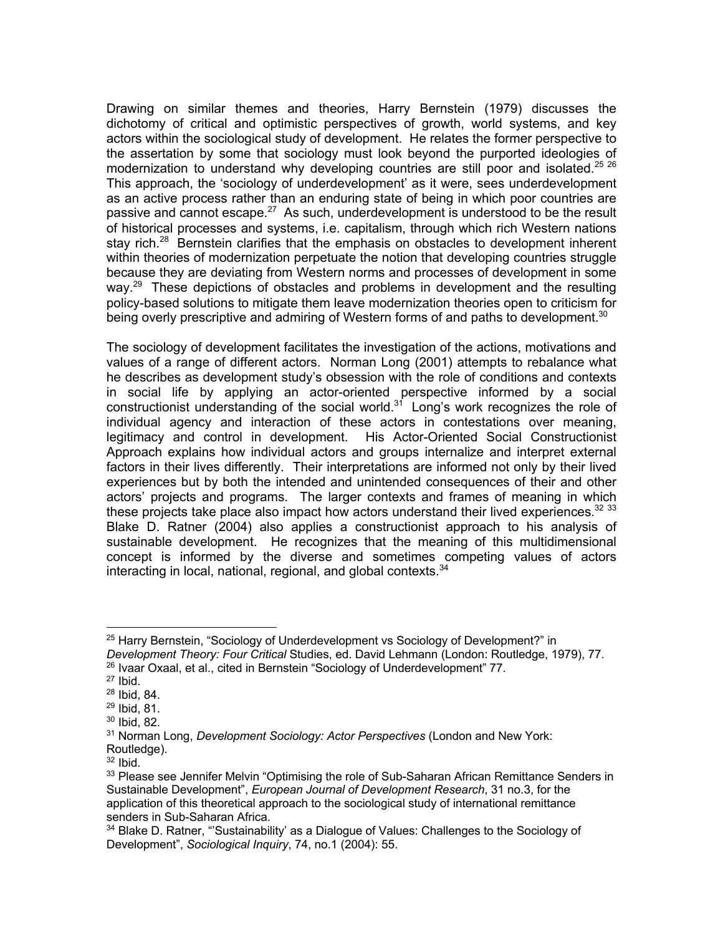Drawing on similar themes and theories, Harry Bernstein (1979) discusses the dichotomy of critical and optimistic perspectives of growth, world systems, and key actors within the sociological study of development. He relates the former perspective to the assertation by some that sociology must look beyond the purported ideologies of modernization to understand why developing countries are still poor and isolated.<sup>25 26</sup> This approach, the 'sociology of underdevelopment' as it were, sees underdevelopment as an active process rather than an enduring state of being in which poor countries are passive and cannot escape.<sup>27</sup> As such, underdevelopment is understood to be the result of historical processes and systems, i.e. capitalism, through which rich Western nations stay rich.<sup>28</sup> Bernstein clarifies that the emphasis on obstacles to development inherent within theories of modernization perpetuate the notion that developing countries struggle because they are deviating from Western norms and processes of development in some way.<sup>29</sup> These depictions of obstacles and problems in development and the resulting policy-based solutions to mitigate them leave modernization theories open to criticism for being overly prescriptive and admiring of Western forms of and paths to development.<sup>30</sup>

The sociology of development facilitates the investigation of the actions, motivations and values of a range of different actors. Norman Long (2001) attempts to rebalance what he describes as development study's obsession with the role of conditions and contexts in social life by applying an actor-oriented perspective informed by a social constructionist understanding of the social world. $3<sup>1</sup>$  Long's work recognizes the role of individual agency and interaction of these actors in contestations over meaning, legitimacy and control in development. His Actor-Oriented Social Constructionist Approach explains how individual actors and groups internalize and interpret external factors in their lives differently. Their interpretations are informed not only by their lived experiences but by both the intended and unintended consequences of their and other actors' projects and programs. The larger contexts and frames of meaning in which these projects take place also impact how actors understand their lived experiences.  $32\,33$ Blake D. Ratner (2004) also applies a constructionist approach to his analysis of sustainable development. He recognizes that the meaning of this multidimensional concept is informed by the diverse and sometimes competing values of actors interacting in local, national, regional, and global contexts.<sup>34</sup>

<sup>&</sup>lt;sup>25</sup> Harry Bernstein, "Sociology of Underdevelopment vs Sociology of Development?" in *Development Theory: Four Critical* Studies, ed. David Lehmann (London: Routledge, 1979), 77. <sup>26</sup> Ivaar Oxaal, et al., cited in Bernstein "Sociology of Underdevelopment" 77.

 $27$  Ibid.

 $^{28}$  Ibid, 84.<br> $^{29}$  Ibid, 81.<br> $^{30}$  Ibid, 82.

<sup>31</sup> Norman Long, *Development Sociology: Actor Perspectives* (London and New York: Routledge).

 $32$  Ibid.

<sup>&</sup>lt;sup>33</sup> Please see Jennifer Melvin "Optimising the role of Sub-Saharan African Remittance Senders in Sustainable Development", *European Journal of Development Research*, 31 no.3, for the application of this theoretical approach to the sociological study of international remittance senders in Sub-Saharan Africa.

<sup>&</sup>lt;sup>34</sup> Blake D. Ratner, "'Sustainability' as a Dialogue of Values: Challenges to the Sociology of Development", *Sociological Inquiry*, 74, no.1 (2004): 55.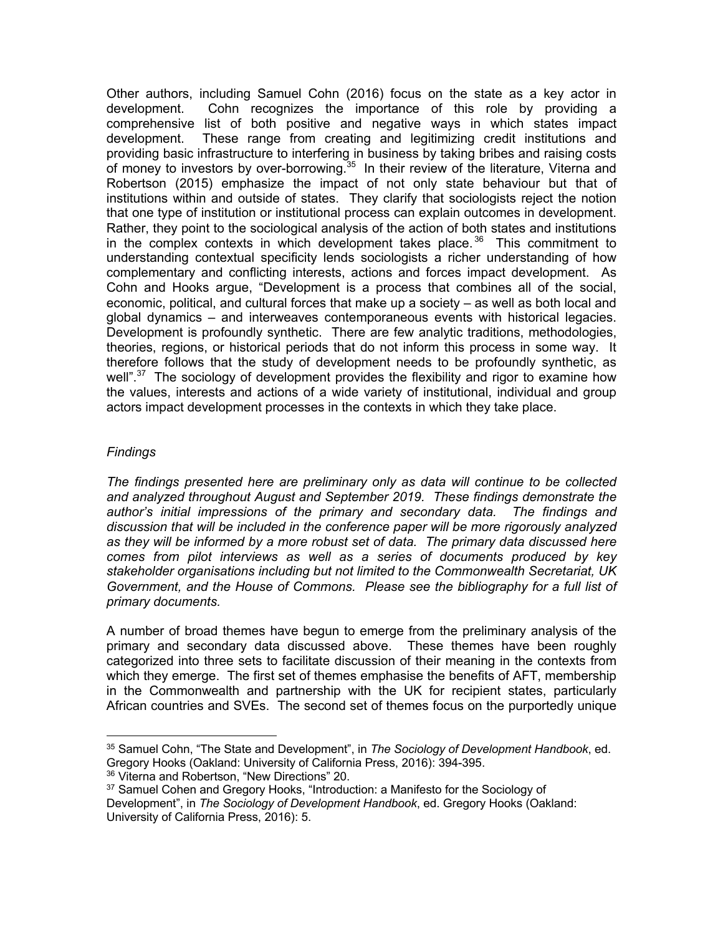Other authors, including Samuel Cohn (2016) focus on the state as a key actor in development. Cohn recognizes the importance of this role by providing a comprehensive list of both positive and negative ways in which states impact development. These range from creating and legitimizing credit institutions and providing basic infrastructure to interfering in business by taking bribes and raising costs of money to investors by over-borrowing.<sup>35</sup> In their review of the literature, Viterna and Robertson (2015) emphasize the impact of not only state behaviour but that of institutions within and outside of states. They clarify that sociologists reject the notion that one type of institution or institutional process can explain outcomes in development. Rather, they point to the sociological analysis of the action of both states and institutions in the complex contexts in which development takes place.<sup>36</sup> This commitment to understanding contextual specificity lends sociologists a richer understanding of how complementary and conflicting interests, actions and forces impact development. As Cohn and Hooks argue, "Development is a process that combines all of the social, economic, political, and cultural forces that make up a society – as well as both local and global dynamics – and interweaves contemporaneous events with historical legacies. Development is profoundly synthetic. There are few analytic traditions, methodologies, theories, regions, or historical periods that do not inform this process in some way. It therefore follows that the study of development needs to be profoundly synthetic, as well".<sup>37</sup> The sociology of development provides the flexibility and rigor to examine how the values, interests and actions of a wide variety of institutional, individual and group actors impact development processes in the contexts in which they take place.

## *Findings*

*The findings presented here are preliminary only as data will continue to be collected and analyzed throughout August and September 2019. These findings demonstrate the author's initial impressions of the primary and secondary data. The findings and discussion that will be included in the conference paper will be more rigorously analyzed as they will be informed by a more robust set of data. The primary data discussed here comes from pilot interviews as well as a series of documents produced by key stakeholder organisations including but not limited to the Commonwealth Secretariat, UK Government, and the House of Commons. Please see the bibliography for a full list of primary documents.* 

A number of broad themes have begun to emerge from the preliminary analysis of the primary and secondary data discussed above. These themes have been roughly categorized into three sets to facilitate discussion of their meaning in the contexts from which they emerge. The first set of themes emphasise the benefits of AFT, membership in the Commonwealth and partnership with the UK for recipient states, particularly African countries and SVEs. The second set of themes focus on the purportedly unique

<sup>35</sup> Samuel Cohn, "The State and Development", in *The Sociology of Development Handbook*, ed. Gregory Hooks (Oakland: University of California Press, 2016): 394-395.

<sup>&</sup>lt;sup>36</sup> Viterna and Robertson, "New Directions" 20.

<sup>&</sup>lt;sup>37</sup> Samuel Cohen and Gregory Hooks, "Introduction: a Manifesto for the Sociology of Development", in *The Sociology of Development Handbook*, ed. Gregory Hooks (Oakland: University of California Press, 2016): 5.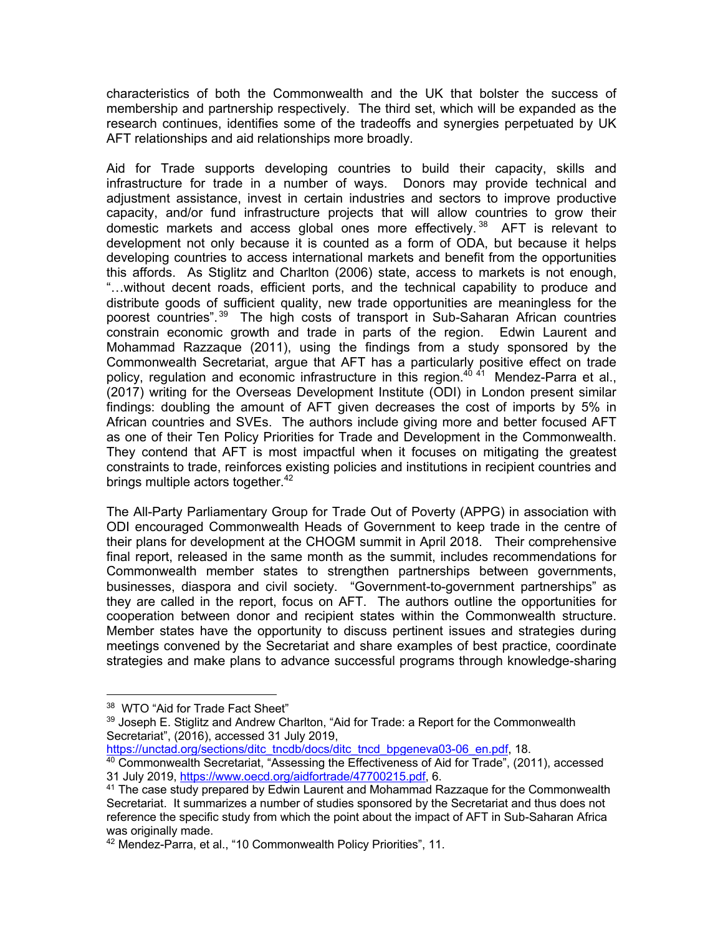characteristics of both the Commonwealth and the UK that bolster the success of membership and partnership respectively. The third set, which will be expanded as the research continues, identifies some of the tradeoffs and synergies perpetuated by UK AFT relationships and aid relationships more broadly.

Aid for Trade supports developing countries to build their capacity, skills and infrastructure for trade in a number of ways. Donors may provide technical and adjustment assistance, invest in certain industries and sectors to improve productive capacity, and/or fund infrastructure projects that will allow countries to grow their domestic markets and access global ones more effectively.<sup>38</sup> AFT is relevant to development not only because it is counted as a form of ODA, but because it helps developing countries to access international markets and benefit from the opportunities this affords. As Stiglitz and Charlton (2006) state, access to markets is not enough, "…without decent roads, efficient ports, and the technical capability to produce and distribute goods of sufficient quality, new trade opportunities are meaningless for the poorest countries".<sup>39</sup> The high costs of transport in Sub-Saharan African countries constrain economic growth and trade in parts of the region. Edwin Laurent and Mohammad Razzaque (2011), using the findings from a study sponsored by the Commonwealth Secretariat, argue that AFT has a particularly positive effect on trade policy, regulation and economic infrastructure in this region.<sup>40 41</sup> Mendez-Parra et al., (2017) writing for the Overseas Development Institute (ODI) in London present similar findings: doubling the amount of AFT given decreases the cost of imports by 5% in African countries and SVEs. The authors include giving more and better focused AFT as one of their Ten Policy Priorities for Trade and Development in the Commonwealth. They contend that AFT is most impactful when it focuses on mitigating the greatest constraints to trade, reinforces existing policies and institutions in recipient countries and brings multiple actors together.<sup>42</sup>

The All-Party Parliamentary Group for Trade Out of Poverty (APPG) in association with ODI encouraged Commonwealth Heads of Government to keep trade in the centre of their plans for development at the CHOGM summit in April 2018. Their comprehensive final report, released in the same month as the summit, includes recommendations for Commonwealth member states to strengthen partnerships between governments, businesses, diaspora and civil society. "Government-to-government partnerships" as they are called in the report, focus on AFT. The authors outline the opportunities for cooperation between donor and recipient states within the Commonwealth structure. Member states have the opportunity to discuss pertinent issues and strategies during meetings convened by the Secretariat and share examples of best practice, coordinate strategies and make plans to advance successful programs through knowledge-sharing

https://unctad.org/sections/ditc\_tncdb/docs/ditc\_tncd\_bpgeneva03-06\_en.pdf, 18.

 $38$  WTO "Aid for Trade Fact Sheet"<br> $39$  Joseph E. Stiglitz and Andrew Charlton, "Aid for Trade: a Report for the Commonwealth Secretariat", (2016), accessed 31 July 2019,

<sup>40</sup> Commonwealth Secretariat, "Assessing the Effectiveness of Aid for Trade", (2011), accessed 31 July 2019, https://www.oecd.org/aidfortrade/47700215.pdf, 6.

 $41$  The case study prepared by Edwin Laurent and Mohammad Razzaque for the Commonwealth Secretariat. It summarizes a number of studies sponsored by the Secretariat and thus does not reference the specific study from which the point about the impact of AFT in Sub-Saharan Africa was originally made.

<sup>42</sup> Mendez-Parra, et al., "10 Commonwealth Policy Priorities", 11.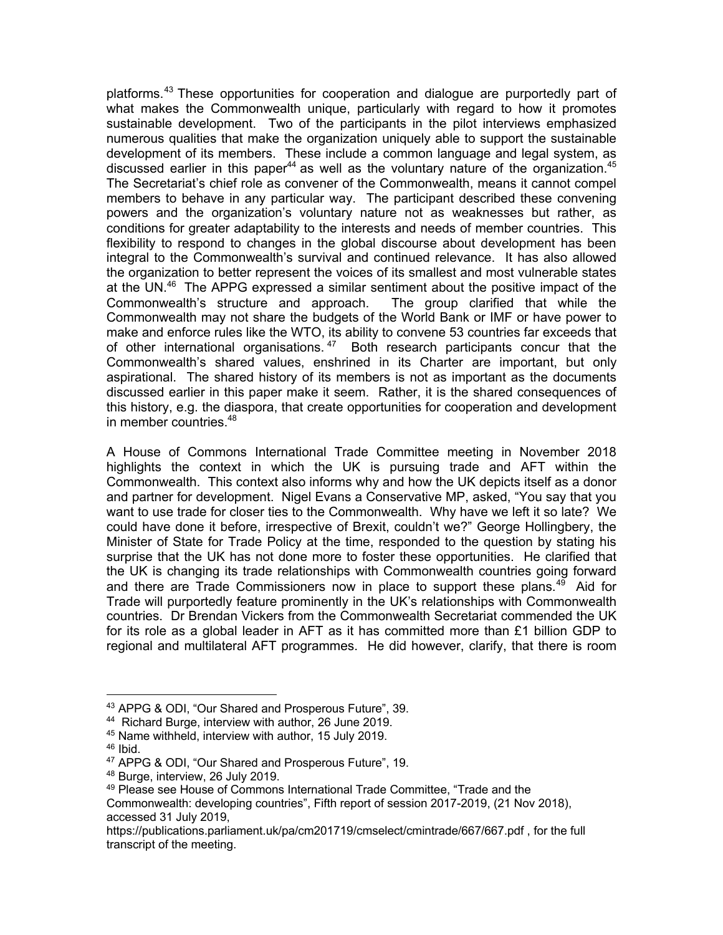platforms.<sup>43</sup> These opportunities for cooperation and dialogue are purportedly part of what makes the Commonwealth unique, particularly with regard to how it promotes sustainable development. Two of the participants in the pilot interviews emphasized numerous qualities that make the organization uniquely able to support the sustainable development of its members. These include a common language and legal system, as discussed earlier in this paper<sup>44</sup> as well as the voluntary nature of the organization.<sup>45</sup> The Secretariat's chief role as convener of the Commonwealth, means it cannot compel members to behave in any particular way. The participant described these convening powers and the organization's voluntary nature not as weaknesses but rather, as conditions for greater adaptability to the interests and needs of member countries. This flexibility to respond to changes in the global discourse about development has been integral to the Commonwealth's survival and continued relevance. It has also allowed the organization to better represent the voices of its smallest and most vulnerable states at the UN.<sup>46</sup> The APPG expressed a similar sentiment about the positive impact of the Commonwealth's structure and approach. The group clarified that while the Commonwealth may not share the budgets of the World Bank or IMF or have power to make and enforce rules like the WTO, its ability to convene 53 countries far exceeds that of other international organisations.<sup>47</sup> Both research participants concur that the Commonwealth's shared values, enshrined in its Charter are important, but only aspirational. The shared history of its members is not as important as the documents discussed earlier in this paper make it seem. Rather, it is the shared consequences of this history, e.g. the diaspora, that create opportunities for cooperation and development in member countries. 48

A House of Commons International Trade Committee meeting in November 2018 highlights the context in which the UK is pursuing trade and AFT within the Commonwealth. This context also informs why and how the UK depicts itself as a donor and partner for development. Nigel Evans a Conservative MP, asked, "You say that you want to use trade for closer ties to the Commonwealth. Why have we left it so late? We could have done it before, irrespective of Brexit, couldn't we?" George Hollingbery, the Minister of State for Trade Policy at the time, responded to the question by stating his surprise that the UK has not done more to foster these opportunities. He clarified that the UK is changing its trade relationships with Commonwealth countries going forward and there are Trade Commissioners now in place to support these plans.<sup>49</sup> Aid for Trade will purportedly feature prominently in the UK's relationships with Commonwealth countries. Dr Brendan Vickers from the Commonwealth Secretariat commended the UK for its role as a global leader in AFT as it has committed more than  $£1$  billion GDP to regional and multilateral AFT programmes. He did however, clarify, that there is room

 $46$  Ibid.

<sup>43</sup> APPG & ODI, "Our Shared and Prosperous Future", 39.

<sup>44</sup> Richard Burge, interview with author, 26 June 2019.

<sup>45</sup> Name withheld, interview with author, 15 July 2019.

<sup>47</sup> APPG & ODI, "Our Shared and Prosperous Future", 19.

<sup>&</sup>lt;sup>48</sup> Burge, interview, 26 July 2019.<br><sup>49</sup> Please see House of Commons International Trade Committee, "Trade and the Commonwealth: developing countries", Fifth report of session 2017-2019, (21 Nov 2018), accessed 31 July 2019,

https://publications.parliament.uk/pa/cm201719/cmselect/cmintrade/667/667.pdf , for the full transcript of the meeting.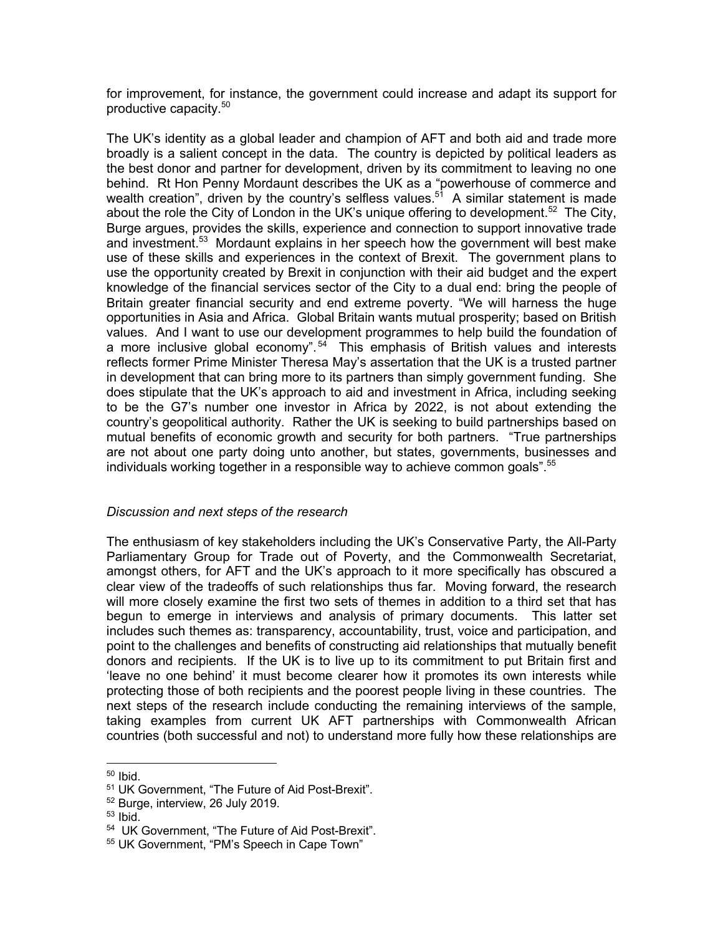for improvement, for instance, the government could increase and adapt its support for productive capacity. 50

The UK's identity as a global leader and champion of AFT and both aid and trade more broadly is a salient concept in the data. The country is depicted by political leaders as the best donor and partner for development, driven by its commitment to leaving no one behind. Rt Hon Penny Mordaunt describes the UK as a "powerhouse of commerce and wealth creation", driven by the country's selfless values.<sup>51</sup> A similar statement is made about the role the City of London in the UK's unique offering to development.<sup>52</sup> The City, Burge argues, provides the skills, experience and connection to support innovative trade and investment.<sup>53</sup> Mordaunt explains in her speech how the government will best make use of these skills and experiences in the context of Brexit. The government plans to use the opportunity created by Brexit in conjunction with their aid budget and the expert knowledge of the financial services sector of the City to a dual end: bring the people of Britain greater financial security and end extreme poverty. "We will harness the huge opportunities in Asia and Africa. Global Britain wants mutual prosperity; based on British values. And I want to use our development programmes to help build the foundation of a more inclusive global economy".<sup>54</sup> This emphasis of British values and interests reflects former Prime Minister Theresa May's assertation that the UK is a trusted partner in development that can bring more to its partners than simply government funding. She does stipulate that the UK's approach to aid and investment in Africa, including seeking to be the G7's number one investor in Africa by 2022, is not about extending the country's geopolitical authority. Rather the UK is seeking to build partnerships based on mutual benefits of economic growth and security for both partners. "True partnerships are not about one party doing unto another, but states, governments, businesses and individuals working together in a responsible way to achieve common goals".<sup>55</sup>

### *Discussion and next steps of the research*

The enthusiasm of key stakeholders including the UK's Conservative Party, the All-Party Parliamentary Group for Trade out of Poverty, and the Commonwealth Secretariat, amongst others, for AFT and the UK's approach to it more specifically has obscured a clear view of the tradeoffs of such relationships thus far. Moving forward, the research will more closely examine the first two sets of themes in addition to a third set that has begun to emerge in interviews and analysis of primary documents. This latter set includes such themes as: transparency, accountability, trust, voice and participation, and point to the challenges and benefits of constructing aid relationships that mutually benefit donors and recipients. If the UK is to live up to its commitment to put Britain first and 'leave no one behind' it must become clearer how it promotes its own interests while protecting those of both recipients and the poorest people living in these countries. The next steps of the research include conducting the remaining interviews of the sample, taking examples from current UK AFT partnerships with Commonwealth African countries (both successful and not) to understand more fully how these relationships are

 $50$  Ibid.

<sup>51</sup> UK Government, "The Future of Aid Post-Brexit".

 $52$  Burge, interview, 26 July 2019.<br> $53$  Ibid.

<sup>54</sup> UK Government, "The Future of Aid Post-Brexit".

<sup>55</sup> UK Government, "PM's Speech in Cape Town"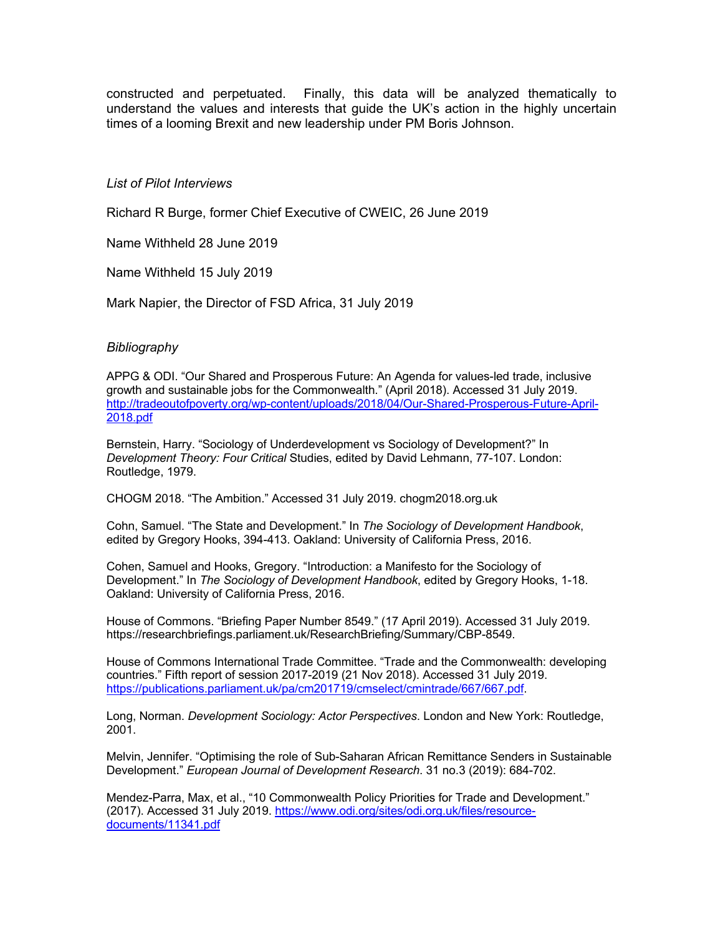constructed and perpetuated. Finally, this data will be analyzed thematically to understand the values and interests that guide the UK's action in the highly uncertain times of a looming Brexit and new leadership under PM Boris Johnson.

#### *List of Pilot Interviews*

Richard R Burge, former Chief Executive of CWEIC, 26 June 2019

Name Withheld 28 June 2019

Name Withheld 15 July 2019

Mark Napier, the Director of FSD Africa, 31 July 2019

#### *Bibliography*

APPG & ODI. "Our Shared and Prosperous Future: An Agenda for values-led trade, inclusive growth and sustainable jobs for the Commonwealth." (April 2018). Accessed 31 July 2019. http://tradeoutofpoverty.org/wp-content/uploads/2018/04/Our-Shared-Prosperous-Future-April-2018.pdf

Bernstein, Harry. "Sociology of Underdevelopment vs Sociology of Development?" In *Development Theory: Four Critical* Studies, edited by David Lehmann, 77-107. London: Routledge, 1979.

CHOGM 2018. "The Ambition." Accessed 31 July 2019. chogm2018.org.uk

Cohn, Samuel. "The State and Development." In *The Sociology of Development Handbook*, edited by Gregory Hooks, 394-413. Oakland: University of California Press, 2016.

Cohen, Samuel and Hooks, Gregory. "Introduction: a Manifesto for the Sociology of Development." In *The Sociology of Development Handbook*, edited by Gregory Hooks, 1-18. Oakland: University of California Press, 2016.

House of Commons. "Briefing Paper Number 8549." (17 April 2019). Accessed 31 July 2019. https://researchbriefings.parliament.uk/ResearchBriefing/Summary/CBP-8549.

House of Commons International Trade Committee. "Trade and the Commonwealth: developing countries." Fifth report of session 2017-2019 (21 Nov 2018). Accessed 31 July 2019. https://publications.parliament.uk/pa/cm201719/cmselect/cmintrade/667/667.pdf.

Long, Norman. *Development Sociology: Actor Perspectives*. London and New York: Routledge, 2001.

Melvin, Jennifer. "Optimising the role of Sub-Saharan African Remittance Senders in Sustainable Development." *European Journal of Development Research*. 31 no.3 (2019): 684-702.

Mendez-Parra, Max, et al., "10 Commonwealth Policy Priorities for Trade and Development." (2017). Accessed 31 July 2019. https://www.odi.org/sites/odi.org.uk/files/resourcedocuments/11341.pdf